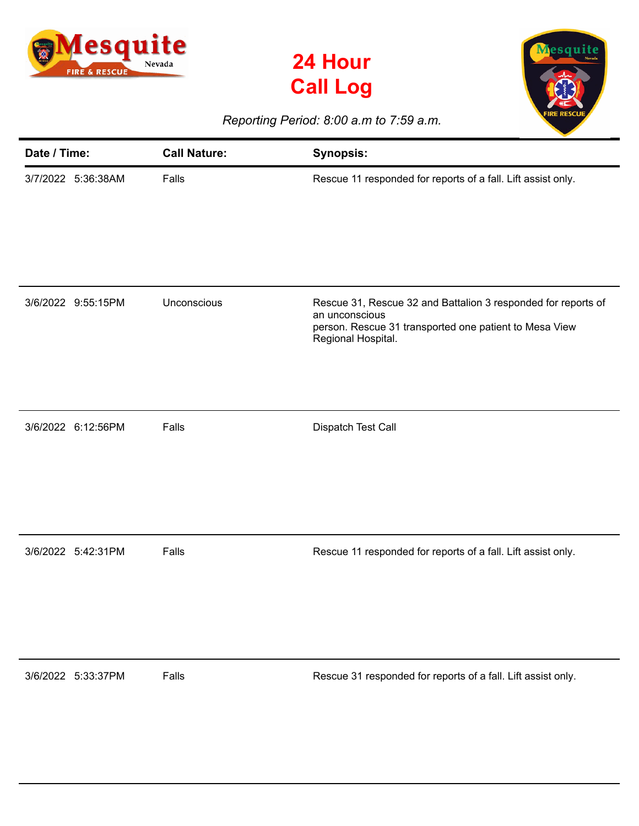

**24 Hour Call Log**



*Reporting Period: 8:00 a.m to 7:59 a.m.*

| Date / Time: |                    | <b>Call Nature:</b> | <b>Synopsis:</b>                                                                                                                                                |
|--------------|--------------------|---------------------|-----------------------------------------------------------------------------------------------------------------------------------------------------------------|
|              | 3/7/2022 5:36:38AM | Falls               | Rescue 11 responded for reports of a fall. Lift assist only.                                                                                                    |
|              | 3/6/2022 9:55:15PM | Unconscious         | Rescue 31, Rescue 32 and Battalion 3 responded for reports of<br>an unconscious<br>person. Rescue 31 transported one patient to Mesa View<br>Regional Hospital. |
|              | 3/6/2022 6:12:56PM | Falls               | Dispatch Test Call                                                                                                                                              |
|              | 3/6/2022 5:42:31PM | Falls               | Rescue 11 responded for reports of a fall. Lift assist only.                                                                                                    |
| 3/6/2022     | 5:33:37PM          | Falls               | Rescue 31 responded for reports of a fall. Lift assist only.                                                                                                    |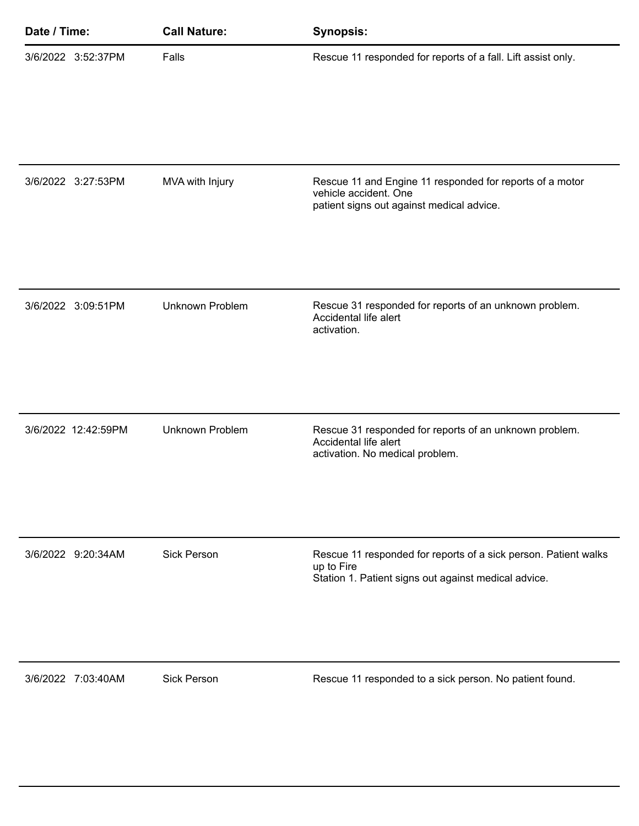| Date / Time: |                     | <b>Call Nature:</b>    | <b>Synopsis:</b>                                                                                                                      |
|--------------|---------------------|------------------------|---------------------------------------------------------------------------------------------------------------------------------------|
|              | 3/6/2022 3:52:37PM  | Falls                  | Rescue 11 responded for reports of a fall. Lift assist only.                                                                          |
|              | 3/6/2022 3:27:53PM  | MVA with Injury        | Rescue 11 and Engine 11 responded for reports of a motor<br>vehicle accident. One<br>patient signs out against medical advice.        |
|              | 3/6/2022 3:09:51PM  | <b>Unknown Problem</b> | Rescue 31 responded for reports of an unknown problem.<br>Accidental life alert<br>activation.                                        |
|              | 3/6/2022 12:42:59PM | <b>Unknown Problem</b> | Rescue 31 responded for reports of an unknown problem.<br>Accidental life alert<br>activation. No medical problem.                    |
|              | 3/6/2022 9:20:34AM  | <b>Sick Person</b>     | Rescue 11 responded for reports of a sick person. Patient walks<br>up to Fire<br>Station 1. Patient signs out against medical advice. |
|              | 3/6/2022 7:03:40AM  | <b>Sick Person</b>     | Rescue 11 responded to a sick person. No patient found.                                                                               |